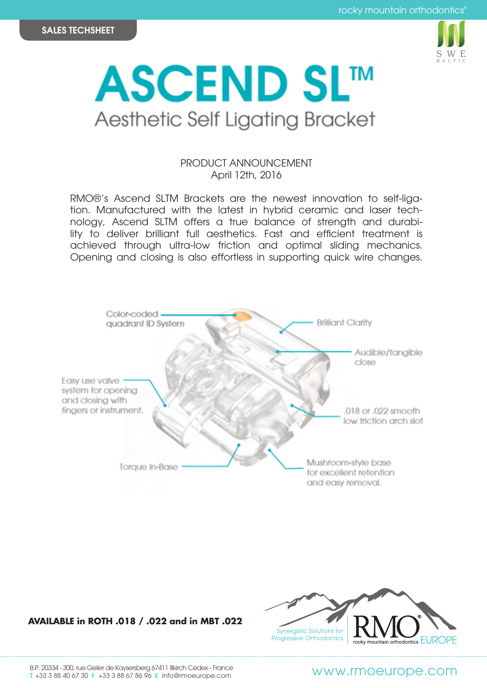



## PRODUCT ANNOUNCEMENT April 12th, 2016

RMO®'s Ascend SLTM Brackets are the newest innovation to self-ligation. Manufactured with the latest in hybrid ceramic and laser technology, Ascend SLTM offers a true balance of strength and durability to deliver brilliant full aesthetics. Fast and efficient treatment is achieved through ultra-low friction and optimal sliding mechanics. Opening and closing is also effortless in supporting quick wire changes.



## **AVAILABLE in ROTH .018 / .022 and in MBT .022**



B.P. 20334 - 300, rue Geiler de Kaysersberg 67411 Illkirch Cedex - France B.P. 20034 - 300, rue Geller de Raysersberg 6/4 FT illiarch Cedex - France<br>T +33 3 88 40 67 30 F +33 3 88 67 86 96 E info@rmoeurope.com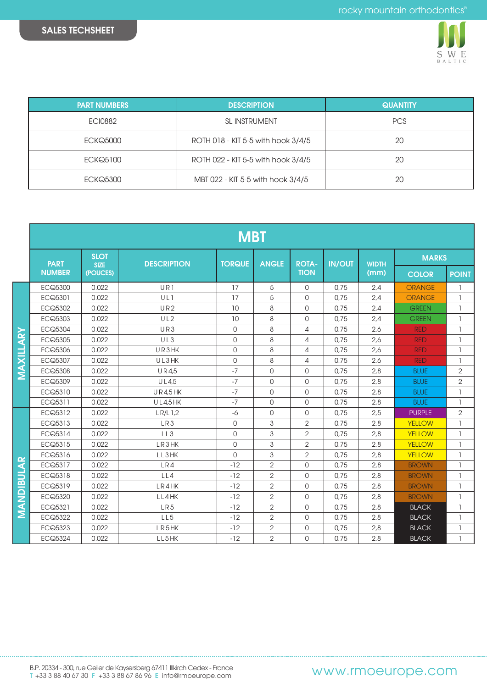

| <b>PART NUMBERS</b> | <b>DESCRIPTION</b>                 | <b>QUANTITY</b> |  |  |  |
|---------------------|------------------------------------|-----------------|--|--|--|
| <b>ECI0882</b>      | <b>SL INSTRUMENT</b>               | <b>PCS</b>      |  |  |  |
| <b>ECKQ5000</b>     | ROTH 018 - KIT 5-5 with hook 3/4/5 | 20              |  |  |  |
| <b>ECKQ5100</b>     | ROTH 022 - KIT 5-5 with hook 3/4/5 | 20              |  |  |  |
| <b>ECKQ5300</b>     | MBT 022 - KIT 5-5 with hook 3/4/5  | 20              |  |  |  |

|            | <b>MBT</b>    |                                        |                    |               |                |                             |               |                      |               |                |
|------------|---------------|----------------------------------------|--------------------|---------------|----------------|-----------------------------|---------------|----------------------|---------------|----------------|
|            | <b>PART</b>   | <b>SLOT</b><br><b>SIZE</b><br>(POUCES) | <b>DESCRIPTION</b> | <b>TORQUE</b> | <b>ANGLE</b>   | <b>ROTA-</b><br><b>TION</b> | <b>IN/OUT</b> | <b>WIDTH</b><br>(mm) | <b>MARKS</b>  |                |
|            | <b>NUMBER</b> |                                        |                    |               |                |                             |               |                      | <b>COLOR</b>  | <b>POINT</b>   |
|            | ECQ5300       | 0.022                                  | UR1                | 17            | 5              | $\Omega$                    | 0.75          | 2.4                  | <b>ORANGE</b> | 1              |
|            | ECQ5301       | 0.022                                  | ULI                | 17            | 5              | $\Omega$                    | 0.75          | 2.4                  | <b>ORANGE</b> | $\overline{1}$ |
|            | ECQ5302       | 0.022                                  | UR <sub>2</sub>    | 10            | 8              | $\Omega$                    | 0.75          | 2,4                  | <b>GREEN</b>  | 1              |
|            | ECQ5303       | 0.022                                  | UL2                | 10            | 8              | $\Omega$                    | 0.75          | 2.4                  | <b>GREEN</b>  | $\overline{1}$ |
|            | ECQ5304       | 0.022                                  | UR3                | $\mathbf 0$   | 8              | 4                           | 0.75          | 2,6                  | <b>RED</b>    | $\overline{1}$ |
|            | ECQ5305       | 0.022                                  | UL3                | $\mathbf 0$   | 8              | 4                           | 0.75          | 2,6                  | <b>RED</b>    | $\overline{1}$ |
|            | ECQ5306       | 0.022                                  | UR3HK              | $\mathbf 0$   | 8              | 4                           | 0.75          | 2.6                  | <b>RED</b>    | $\overline{1}$ |
|            | ECQ5307       | 0.022                                  | UL3HK              | $\mathbf 0$   | 8              | 4                           | 0.75          | 2,6                  | <b>RED</b>    | $\overline{1}$ |
| MAXILLARY  | ECQ5308       | 0.022                                  | <b>UR45</b>        | $-7$          | $\Omega$       | $\Omega$                    | 0.75          | 2.8                  | <b>BLUE</b>   | $\overline{2}$ |
|            | ECQ5309       | 0.022                                  | UL4,5              | $-7$          | $\Omega$       | $\Omega$                    | 0.75          | 2,8                  | <b>BLUE</b>   | $\overline{2}$ |
|            | ECQ5310       | 0.022                                  | <b>UR4,5HK</b>     | $-7$          | $\Omega$       | $\Omega$                    | 0.75          | 2,8                  | <b>BLUE</b>   | $\overline{1}$ |
|            | ECQ5311       | 0.022                                  | <b>UL4.5 HK</b>    | $-7$          | $\Omega$       | $\Omega$                    | 0.75          | 2.8                  | <b>BLUE</b>   | $\overline{1}$ |
|            | ECQ5312       | 0.022                                  | LR/L1,2            | $-6$          | $\mathbf 0$    | $\Omega$                    | 0.75          | 2,5                  | <b>PURPLE</b> | $\overline{2}$ |
|            | ECQ5313       | 0.022                                  | LR3                | $\Omega$      | 3              | $\overline{2}$              | 0.75          | 2,8                  | <b>YELLOW</b> | $\mathbf{1}$   |
|            | ECQ5314       | 0.022                                  | LL3                | $\Omega$      | 3              | $\overline{2}$              | 0.75          | 2,8                  | <b>YELLOW</b> | $\mathbf{1}$   |
|            | ECQ5315       | 0.022                                  | LR3HK              | $\Omega$      | 3              | $\overline{2}$              | 0.75          | 2,8                  | <b>YELLOW</b> | $\overline{1}$ |
|            | ECQ5316       | 0.022                                  | LL3HK              | $\Omega$      | 3              | $\overline{2}$              | 0,75          | 2,8                  | <b>YELLOW</b> | $\overline{1}$ |
|            | ECQ5317       | 0.022                                  | LR4                | $-12$         | $\mathbf{2}$   | $\Omega$                    | 0.75          | 2,8                  | <b>BROWN</b>  | -1             |
|            | ECQ5318       | 0.022                                  | LL4                | $-12$         | $\overline{2}$ | $\Omega$                    | 0.75          | 2,8                  | <b>BROWN</b>  | $\mathbf{1}$   |
|            | ECQ5319       | 0.022                                  | LR4HK              | $-12$         | $\overline{2}$ | $\Omega$                    | 0.75          | 2,8                  | <b>BROWN</b>  | $\mathbf{1}$   |
|            | ECQ5320       | 0.022                                  | LL4HK              | $-12$         | $\overline{2}$ | $\Omega$                    | 0.75          | 2.8                  | <b>BROWN</b>  | $\mathbf{1}$   |
| MANDIBULAR | ECQ5321       | 0.022                                  | LR5                | $-12$         | $\mathbf{2}$   | 0                           | 0,75          | 2,8                  | <b>BLACK</b>  | -1             |
|            | ECQ5322       | 0.022                                  | LL <sub>5</sub>    | $-12$         | $\mathbf{2}$   | $\mathbf{0}$                | 0.75          | 2,8                  | <b>BLACK</b>  | 1              |
|            | ECQ5323       | 0.022                                  | LR5HK              | $-12$         | $\overline{2}$ | $\Omega$                    | 0,75          | 2,8                  | <b>BLACK</b>  | $\mathbf{1}$   |
|            | ECQ5324       | 0.022                                  | LL5HK              | $-12$         | $\overline{2}$ | $\Omega$                    | 0.75          | 2,8                  | <b>BLACK</b>  | $\mathbf{1}$   |